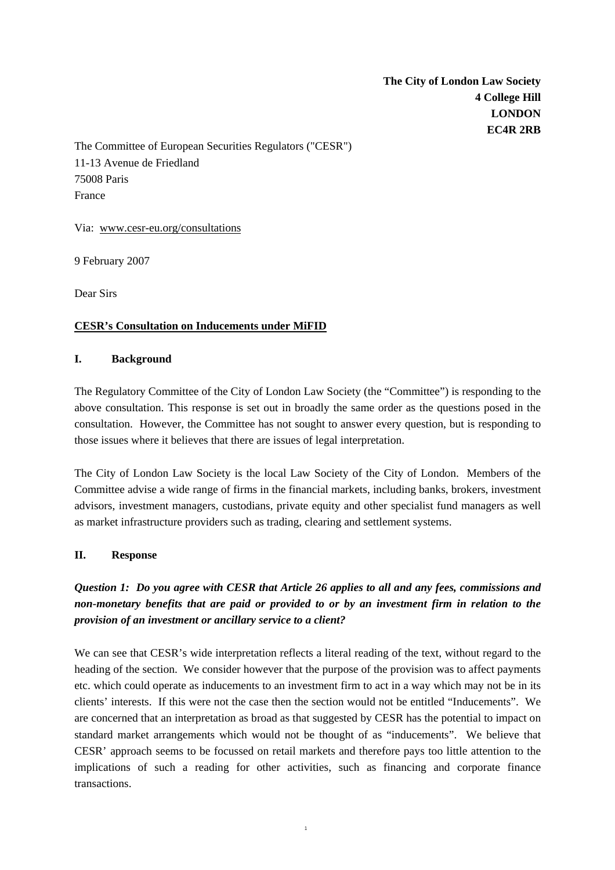**The City of London Law Society 4 College Hill LONDON EC4R 2RB** 

The Committee of European Securities Regulators ("CESR") 11-13 Avenue de Friedland 75008 Paris France

Via: www.cesr-eu.org/consultations

9 February 2007

Dear Sirs

#### **CESR's Consultation on Inducements under MiFID**

#### **I. Background**

The Regulatory Committee of the City of London Law Society (the "Committee") is responding to the above consultation. This response is set out in broadly the same order as the questions posed in the consultation. However, the Committee has not sought to answer every question, but is responding to those issues where it believes that there are issues of legal interpretation.

The City of London Law Society is the local Law Society of the City of London. Members of the Committee advise a wide range of firms in the financial markets, including banks, brokers, investment advisors, investment managers, custodians, private equity and other specialist fund managers as well as market infrastructure providers such as trading, clearing and settlement systems.

#### **II. Response**

# *Question 1: Do you agree with CESR that Article 26 applies to all and any fees, commissions and non-monetary benefits that are paid or provided to or by an investment firm in relation to the provision of an investment or ancillary service to a client?*

We can see that CESR's wide interpretation reflects a literal reading of the text, without regard to the heading of the section. We consider however that the purpose of the provision was to affect payments etc. which could operate as inducements to an investment firm to act in a way which may not be in its clients' interests. If this were not the case then the section would not be entitled "Inducements". We are concerned that an interpretation as broad as that suggested by CESR has the potential to impact on standard market arrangements which would not be thought of as "inducements". We believe that CESR' approach seems to be focussed on retail markets and therefore pays too little attention to the implications of such a reading for other activities, such as financing and corporate finance transactions.

1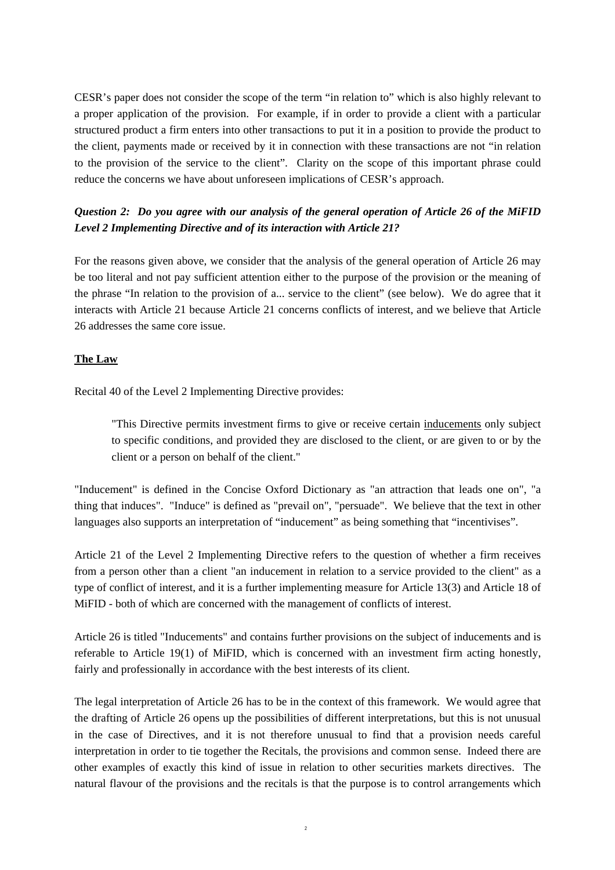CESR's paper does not consider the scope of the term "in relation to" which is also highly relevant to a proper application of the provision. For example, if in order to provide a client with a particular structured product a firm enters into other transactions to put it in a position to provide the product to the client, payments made or received by it in connection with these transactions are not "in relation to the provision of the service to the client". Clarity on the scope of this important phrase could reduce the concerns we have about unforeseen implications of CESR's approach.

#### *Question 2: Do you agree with our analysis of the general operation of Article 26 of the MiFID Level 2 Implementing Directive and of its interaction with Article 21?*

For the reasons given above, we consider that the analysis of the general operation of Article 26 may be too literal and not pay sufficient attention either to the purpose of the provision or the meaning of the phrase "In relation to the provision of a... service to the client" (see below). We do agree that it interacts with Article 21 because Article 21 concerns conflicts of interest, and we believe that Article 26 addresses the same core issue.

#### **The Law**

Recital 40 of the Level 2 Implementing Directive provides:

"This Directive permits investment firms to give or receive certain inducements only subject to specific conditions, and provided they are disclosed to the client, or are given to or by the client or a person on behalf of the client."

"Inducement" is defined in the Concise Oxford Dictionary as "an attraction that leads one on", "a thing that induces". "Induce" is defined as "prevail on", "persuade". We believe that the text in other languages also supports an interpretation of "inducement" as being something that "incentivises".

Article 21 of the Level 2 Implementing Directive refers to the question of whether a firm receives from a person other than a client "an inducement in relation to a service provided to the client" as a type of conflict of interest, and it is a further implementing measure for Article 13(3) and Article 18 of MiFID - both of which are concerned with the management of conflicts of interest.

Article 26 is titled "Inducements" and contains further provisions on the subject of inducements and is referable to Article 19(1) of MiFID, which is concerned with an investment firm acting honestly, fairly and professionally in accordance with the best interests of its client.

The legal interpretation of Article 26 has to be in the context of this framework. We would agree that the drafting of Article 26 opens up the possibilities of different interpretations, but this is not unusual in the case of Directives, and it is not therefore unusual to find that a provision needs careful interpretation in order to tie together the Recitals, the provisions and common sense. Indeed there are other examples of exactly this kind of issue in relation to other securities markets directives. The natural flavour of the provisions and the recitals is that the purpose is to control arrangements which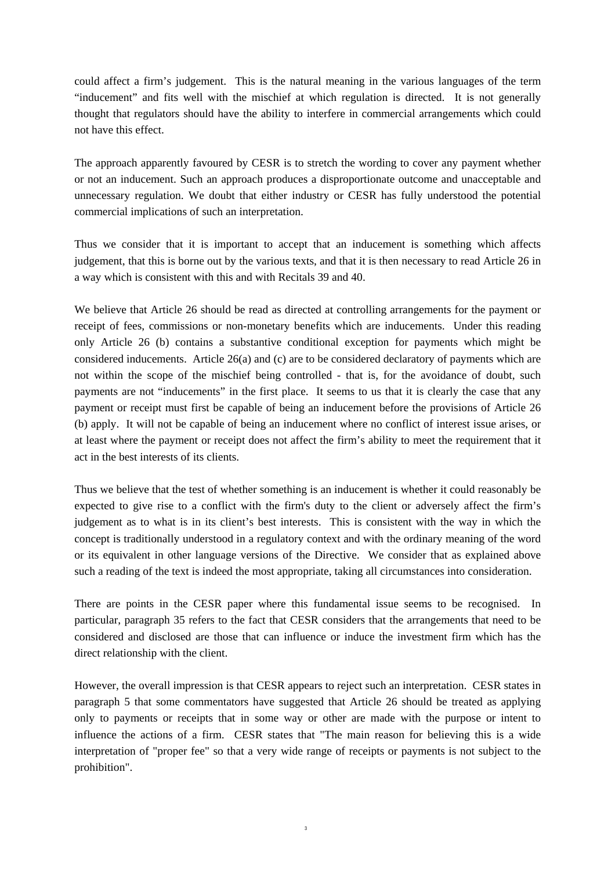could affect a firm's judgement. This is the natural meaning in the various languages of the term "inducement" and fits well with the mischief at which regulation is directed. It is not generally thought that regulators should have the ability to interfere in commercial arrangements which could not have this effect.

The approach apparently favoured by CESR is to stretch the wording to cover any payment whether or not an inducement. Such an approach produces a disproportionate outcome and unacceptable and unnecessary regulation. We doubt that either industry or CESR has fully understood the potential commercial implications of such an interpretation.

Thus we consider that it is important to accept that an inducement is something which affects judgement, that this is borne out by the various texts, and that it is then necessary to read Article 26 in a way which is consistent with this and with Recitals 39 and 40.

We believe that Article 26 should be read as directed at controlling arrangements for the payment or receipt of fees, commissions or non-monetary benefits which are inducements. Under this reading only Article 26 (b) contains a substantive conditional exception for payments which might be considered inducements. Article 26(a) and (c) are to be considered declaratory of payments which are not within the scope of the mischief being controlled - that is, for the avoidance of doubt, such payments are not "inducements" in the first place. It seems to us that it is clearly the case that any payment or receipt must first be capable of being an inducement before the provisions of Article 26 (b) apply. It will not be capable of being an inducement where no conflict of interest issue arises, or at least where the payment or receipt does not affect the firm's ability to meet the requirement that it act in the best interests of its clients.

Thus we believe that the test of whether something is an inducement is whether it could reasonably be expected to give rise to a conflict with the firm's duty to the client or adversely affect the firm's judgement as to what is in its client's best interests. This is consistent with the way in which the concept is traditionally understood in a regulatory context and with the ordinary meaning of the word or its equivalent in other language versions of the Directive. We consider that as explained above such a reading of the text is indeed the most appropriate, taking all circumstances into consideration.

There are points in the CESR paper where this fundamental issue seems to be recognised. In particular, paragraph 35 refers to the fact that CESR considers that the arrangements that need to be considered and disclosed are those that can influence or induce the investment firm which has the direct relationship with the client.

However, the overall impression is that CESR appears to reject such an interpretation. CESR states in paragraph 5 that some commentators have suggested that Article 26 should be treated as applying only to payments or receipts that in some way or other are made with the purpose or intent to influence the actions of a firm. CESR states that "The main reason for believing this is a wide interpretation of "proper fee" so that a very wide range of receipts or payments is not subject to the prohibition".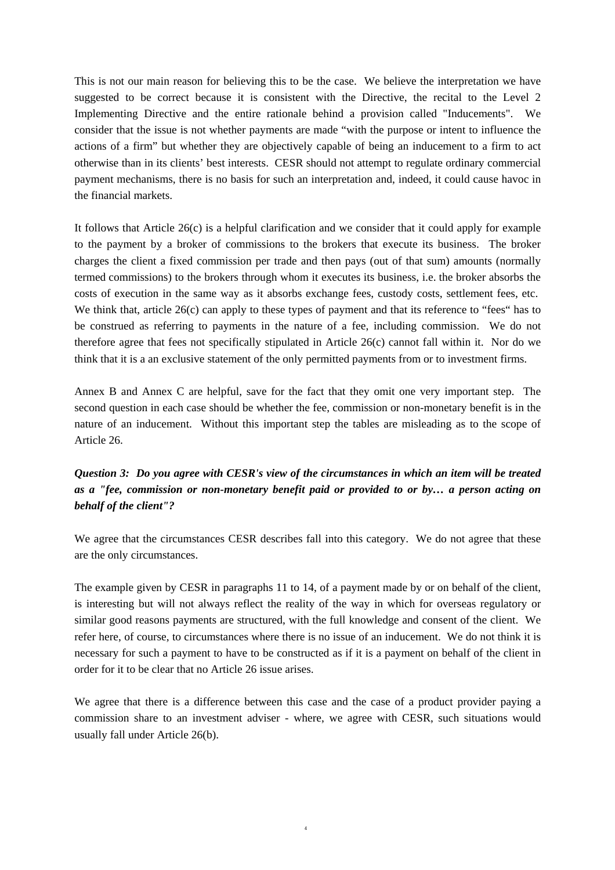This is not our main reason for believing this to be the case. We believe the interpretation we have suggested to be correct because it is consistent with the Directive, the recital to the Level 2 Implementing Directive and the entire rationale behind a provision called "Inducements". We consider that the issue is not whether payments are made "with the purpose or intent to influence the actions of a firm" but whether they are objectively capable of being an inducement to a firm to act otherwise than in its clients' best interests. CESR should not attempt to regulate ordinary commercial payment mechanisms, there is no basis for such an interpretation and, indeed, it could cause havoc in the financial markets.

It follows that Article 26(c) is a helpful clarification and we consider that it could apply for example to the payment by a broker of commissions to the brokers that execute its business. The broker charges the client a fixed commission per trade and then pays (out of that sum) amounts (normally termed commissions) to the brokers through whom it executes its business, i.e. the broker absorbs the costs of execution in the same way as it absorbs exchange fees, custody costs, settlement fees, etc. We think that, article 26(c) can apply to these types of payment and that its reference to "fees" has to be construed as referring to payments in the nature of a fee, including commission. We do not therefore agree that fees not specifically stipulated in Article 26(c) cannot fall within it. Nor do we think that it is a an exclusive statement of the only permitted payments from or to investment firms.

Annex B and Annex C are helpful, save for the fact that they omit one very important step. The second question in each case should be whether the fee, commission or non-monetary benefit is in the nature of an inducement. Without this important step the tables are misleading as to the scope of Article 26.

## *Question 3: Do you agree with CESR's view of the circumstances in which an item will be treated as a "fee, commission or non-monetary benefit paid or provided to or by… a person acting on behalf of the client"?*

We agree that the circumstances CESR describes fall into this category. We do not agree that these are the only circumstances.

The example given by CESR in paragraphs 11 to 14, of a payment made by or on behalf of the client, is interesting but will not always reflect the reality of the way in which for overseas regulatory or similar good reasons payments are structured, with the full knowledge and consent of the client. We refer here, of course, to circumstances where there is no issue of an inducement. We do not think it is necessary for such a payment to have to be constructed as if it is a payment on behalf of the client in order for it to be clear that no Article 26 issue arises.

We agree that there is a difference between this case and the case of a product provider paying a commission share to an investment adviser - where, we agree with CESR, such situations would usually fall under Article 26(b).

4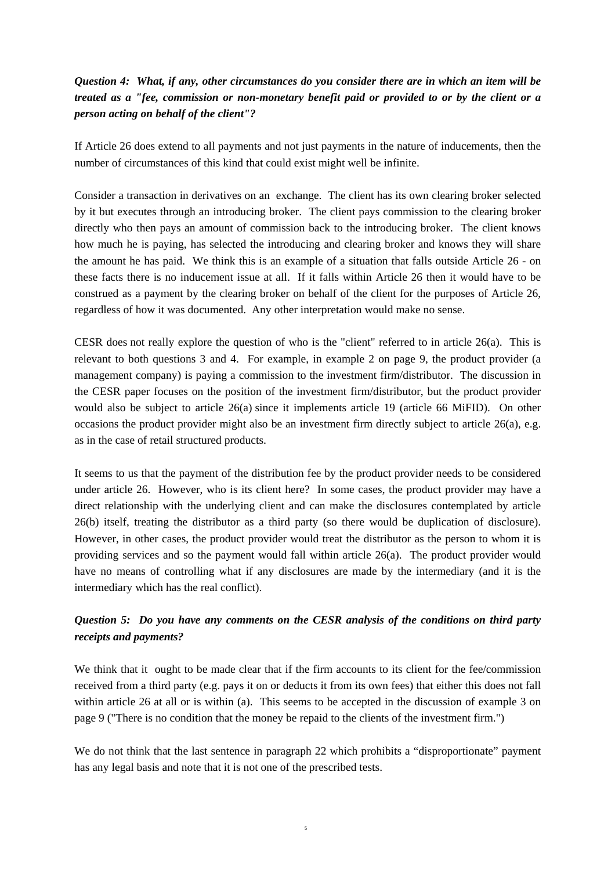## *Question 4: What, if any, other circumstances do you consider there are in which an item will be treated as a "fee, commission or non-monetary benefit paid or provided to or by the client or a person acting on behalf of the client"?*

If Article 26 does extend to all payments and not just payments in the nature of inducements, then the number of circumstances of this kind that could exist might well be infinite.

Consider a transaction in derivatives on an exchange. The client has its own clearing broker selected by it but executes through an introducing broker. The client pays commission to the clearing broker directly who then pays an amount of commission back to the introducing broker. The client knows how much he is paying, has selected the introducing and clearing broker and knows they will share the amount he has paid. We think this is an example of a situation that falls outside Article 26 - on these facts there is no inducement issue at all. If it falls within Article 26 then it would have to be construed as a payment by the clearing broker on behalf of the client for the purposes of Article 26, regardless of how it was documented. Any other interpretation would make no sense.

CESR does not really explore the question of who is the "client" referred to in article 26(a). This is relevant to both questions 3 and 4. For example, in example 2 on page 9, the product provider (a management company) is paying a commission to the investment firm/distributor. The discussion in the CESR paper focuses on the position of the investment firm/distributor, but the product provider would also be subject to article 26(a) since it implements article 19 (article 66 MiFID). On other occasions the product provider might also be an investment firm directly subject to article 26(a), e.g. as in the case of retail structured products.

It seems to us that the payment of the distribution fee by the product provider needs to be considered under article 26. However, who is its client here? In some cases, the product provider may have a direct relationship with the underlying client and can make the disclosures contemplated by article 26(b) itself, treating the distributor as a third party (so there would be duplication of disclosure). However, in other cases, the product provider would treat the distributor as the person to whom it is providing services and so the payment would fall within article 26(a). The product provider would have no means of controlling what if any disclosures are made by the intermediary (and it is the intermediary which has the real conflict).

#### *Question 5: Do you have any comments on the CESR analysis of the conditions on third party receipts and payments?*

We think that it ought to be made clear that if the firm accounts to its client for the fee/commission received from a third party (e.g. pays it on or deducts it from its own fees) that either this does not fall within article 26 at all or is within (a). This seems to be accepted in the discussion of example 3 on page 9 ("There is no condition that the money be repaid to the clients of the investment firm.")

We do not think that the last sentence in paragraph 22 which prohibits a "disproportionate" payment has any legal basis and note that it is not one of the prescribed tests.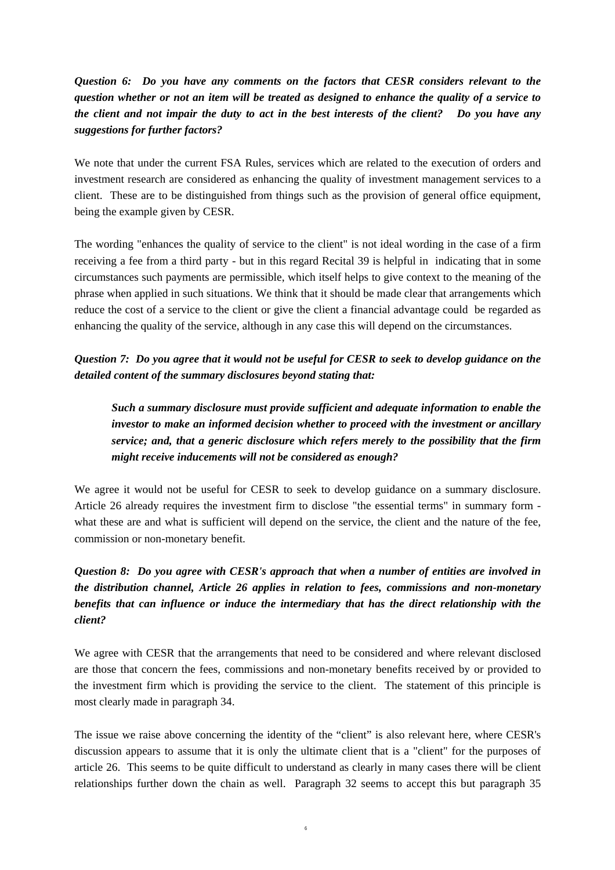*Question 6: Do you have any comments on the factors that CESR considers relevant to the question whether or not an item will be treated as designed to enhance the quality of a service to the client and not impair the duty to act in the best interests of the client? Do you have any suggestions for further factors?*

We note that under the current FSA Rules, services which are related to the execution of orders and investment research are considered as enhancing the quality of investment management services to a client. These are to be distinguished from things such as the provision of general office equipment, being the example given by CESR.

The wording "enhances the quality of service to the client" is not ideal wording in the case of a firm receiving a fee from a third party - but in this regard Recital 39 is helpful in indicating that in some circumstances such payments are permissible, which itself helps to give context to the meaning of the phrase when applied in such situations. We think that it should be made clear that arrangements which reduce the cost of a service to the client or give the client a financial advantage could be regarded as enhancing the quality of the service, although in any case this will depend on the circumstances.

#### *Question 7: Do you agree that it would not be useful for CESR to seek to develop guidance on the detailed content of the summary disclosures beyond stating that:*

*Such a summary disclosure must provide sufficient and adequate information to enable the investor to make an informed decision whether to proceed with the investment or ancillary service; and, that a generic disclosure which refers merely to the possibility that the firm might receive inducements will not be considered as enough?*

We agree it would not be useful for CESR to seek to develop guidance on a summary disclosure. Article 26 already requires the investment firm to disclose "the essential terms" in summary form what these are and what is sufficient will depend on the service, the client and the nature of the fee, commission or non-monetary benefit.

# *Question 8: Do you agree with CESR's approach that when a number of entities are involved in the distribution channel, Article 26 applies in relation to fees, commissions and non-monetary benefits that can influence or induce the intermediary that has the direct relationship with the client?*

We agree with CESR that the arrangements that need to be considered and where relevant disclosed are those that concern the fees, commissions and non-monetary benefits received by or provided to the investment firm which is providing the service to the client. The statement of this principle is most clearly made in paragraph 34.

The issue we raise above concerning the identity of the "client" is also relevant here, where CESR's discussion appears to assume that it is only the ultimate client that is a "client" for the purposes of article 26. This seems to be quite difficult to understand as clearly in many cases there will be client relationships further down the chain as well. Paragraph 32 seems to accept this but paragraph 35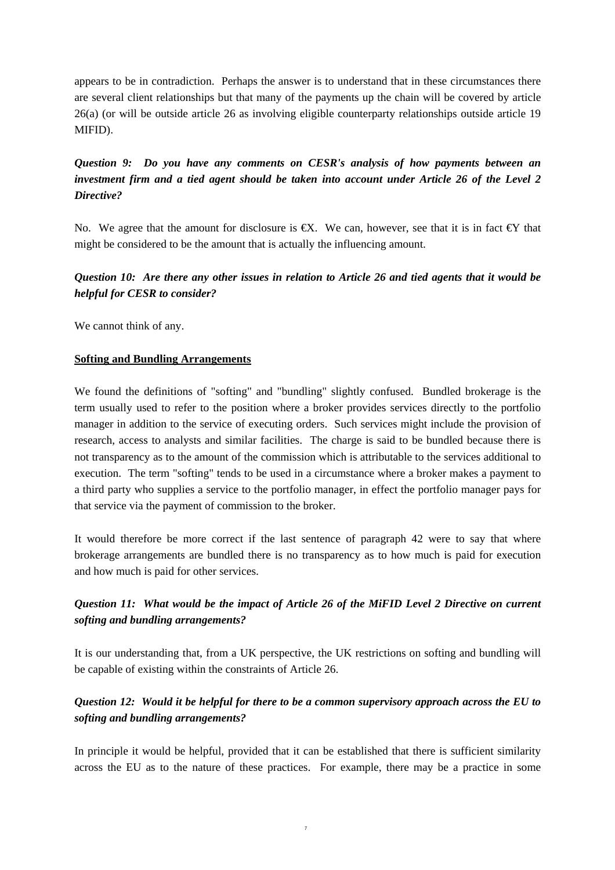appears to be in contradiction. Perhaps the answer is to understand that in these circumstances there are several client relationships but that many of the payments up the chain will be covered by article 26(a) (or will be outside article 26 as involving eligible counterparty relationships outside article 19 MIFID).

# *Question 9: Do you have any comments on CESR's analysis of how payments between an investment firm and a tied agent should be taken into account under Article 26 of the Level 2 Directive?*

No. We agree that the amount for disclosure is  $\epsilon X$ . We can, however, see that it is in fact  $\epsilon Y$  that might be considered to be the amount that is actually the influencing amount.

#### *Question 10: Are there any other issues in relation to Article 26 and tied agents that it would be helpful for CESR to consider?*

We cannot think of any.

#### **Softing and Bundling Arrangements**

We found the definitions of "softing" and "bundling" slightly confused. Bundled brokerage is the term usually used to refer to the position where a broker provides services directly to the portfolio manager in addition to the service of executing orders. Such services might include the provision of research, access to analysts and similar facilities. The charge is said to be bundled because there is not transparency as to the amount of the commission which is attributable to the services additional to execution. The term "softing" tends to be used in a circumstance where a broker makes a payment to a third party who supplies a service to the portfolio manager, in effect the portfolio manager pays for that service via the payment of commission to the broker.

It would therefore be more correct if the last sentence of paragraph 42 were to say that where brokerage arrangements are bundled there is no transparency as to how much is paid for execution and how much is paid for other services.

## *Question 11: What would be the impact of Article 26 of the MiFID Level 2 Directive on current softing and bundling arrangements?*

It is our understanding that, from a UK perspective, the UK restrictions on softing and bundling will be capable of existing within the constraints of Article 26.

## *Question 12: Would it be helpful for there to be a common supervisory approach across the EU to softing and bundling arrangements?*

In principle it would be helpful, provided that it can be established that there is sufficient similarity across the EU as to the nature of these practices. For example, there may be a practice in some